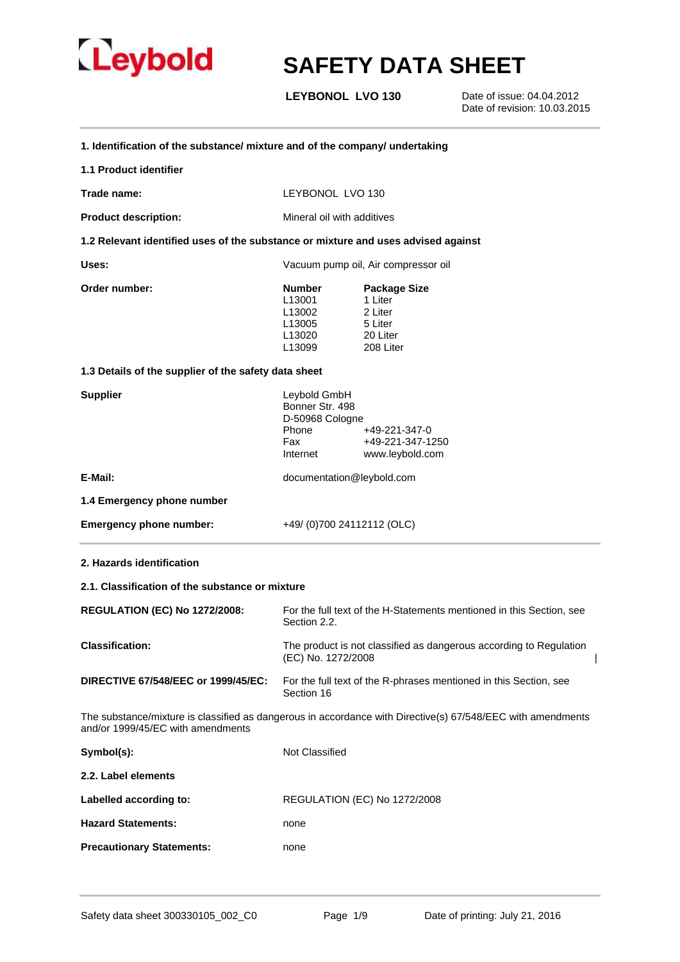

**LEYBONOL LVO 130**

 Date of issue: 04.04.2012 Date of revision: 10.03.2015

#### **1. Identification of the substance/ mixture and of the company/ undertaking**

|  |  |  | 1.1 Product identifier |
|--|--|--|------------------------|
|--|--|--|------------------------|

| Onalizione con la città                                                           | Baalmann Clar<br>h la secola control |  |  |
|-----------------------------------------------------------------------------------|--------------------------------------|--|--|
| Uses:                                                                             | Vacuum pump oil, Air compressor oil  |  |  |
| 1.2 Relevant identified uses of the substance or mixture and uses advised against |                                      |  |  |
| <b>Product description:</b>                                                       | Mineral oil with additives           |  |  |
| Trade name:                                                                       | LEYBONOL LVO 130                     |  |  |

| Order number: | <b>Number</b>      | Package Size |
|---------------|--------------------|--------------|
|               | L <sub>13001</sub> | 1 Liter      |
|               | L <sub>13002</sub> | 2 Liter      |
|               | L <sub>13005</sub> | 5 Liter      |
|               | L <sub>13020</sub> | 20 Liter     |
|               | L <sub>13099</sub> | 208 Liter    |

#### **1.3 Details of the supplier of the safety data sheet**

| <b>Supplier</b>                                 | Leybold GmbH<br>Bonner Str. 498<br>D-50968 Cologne<br>Phone<br>Fax | +49-221-347-0<br>+49-221-347-1250                                                                           |  |
|-------------------------------------------------|--------------------------------------------------------------------|-------------------------------------------------------------------------------------------------------------|--|
|                                                 | Internet                                                           | www.leybold.com                                                                                             |  |
| E-Mail:                                         | documentation@leybold.com                                          |                                                                                                             |  |
| 1.4 Emergency phone number                      |                                                                    |                                                                                                             |  |
| <b>Emergency phone number:</b>                  | +49/ (0)700 24112112 (OLC)                                         |                                                                                                             |  |
| 2. Hazards identification                       |                                                                    |                                                                                                             |  |
| 2.1. Classification of the substance or mixture |                                                                    |                                                                                                             |  |
| <b>REGULATION (EC) No 1272/2008:</b>            | Section 2.2.                                                       | For the full text of the H-Statements mentioned in this Section, see                                        |  |
| <b>Classification:</b>                          | (EC) No. 1272/2008                                                 | The product is not classified as dangerous according to Regulation                                          |  |
| DIRECTIVE 67/548/EEC or 1999/45/EC:             | Section 16                                                         | For the full text of the R-phrases mentioned in this Section, see                                           |  |
| and/or 1999/45/EC with amendments               |                                                                    | The substance/mixture is classified as dangerous in accordance with Directive(s) 67/548/EEC with amendments |  |
| Symbol(s):                                      | Not Classified                                                     |                                                                                                             |  |
| 2.2. Label elements                             |                                                                    |                                                                                                             |  |
| Labelled according to:                          |                                                                    | <b>REGULATION (EC) No 1272/2008</b>                                                                         |  |
| <b>Hazard Statements:</b>                       | none                                                               |                                                                                                             |  |
| <b>Precautionary Statements:</b>                | none                                                               |                                                                                                             |  |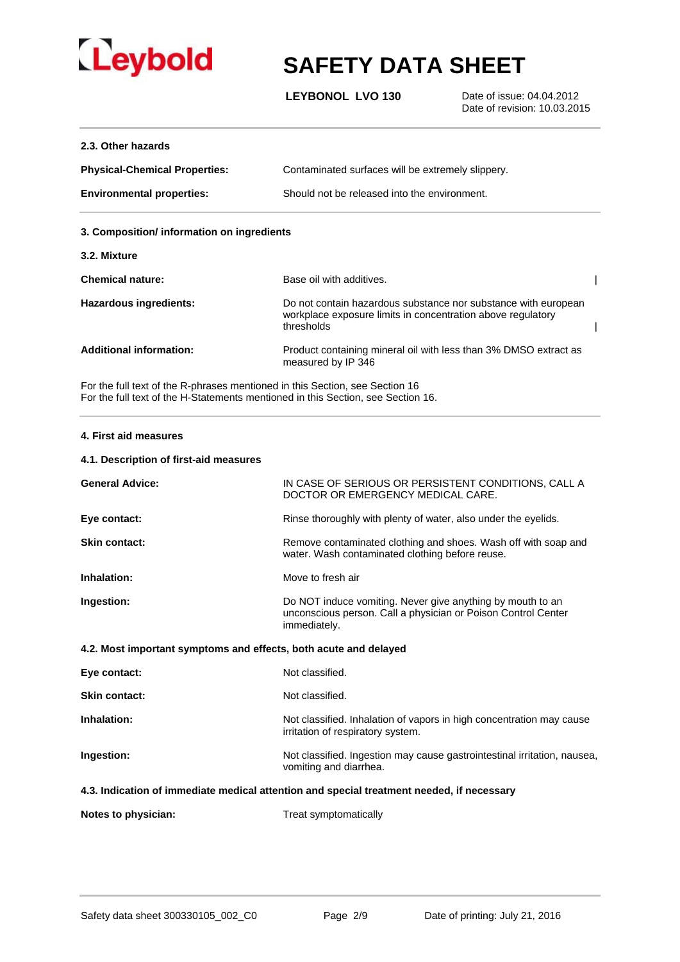

**LEYBONOL LVO 130**

 Date of issue: 04.04.2012 Date of revision: 10.03.2015

#### **2.3. Other hazards**

| <b>Physical-Chemical Properties:</b> | Contaminated surfaces will be extremely slippery. |
|--------------------------------------|---------------------------------------------------|
| <b>Environmental properties:</b>     | Should not be released into the environment.      |

### **3. Composition/ information on ingredients**

#### **3.2. Mixture**

| <b>Chemical nature:</b>        | Base oil with additives.                                                                                                                    |  |
|--------------------------------|---------------------------------------------------------------------------------------------------------------------------------------------|--|
| Hazardous ingredients:         | Do not contain hazardous substance nor substance with european<br>workplace exposure limits in concentration above regulatory<br>thresholds |  |
| <b>Additional information:</b> | Product containing mineral oil with less than 3% DMSO extract as<br>measured by IP 346                                                      |  |

For the full text of the R-phrases mentioned in this Section, see Section 16 For the full text of the H-Statements mentioned in this Section, see Section 16.

#### **4. First aid measures**

### **4.1. Description of first-aid measures**

| <b>General Advice:</b>                                                                    | IN CASE OF SERIOUS OR PERSISTENT CONDITIONS, CALL A<br>DOCTOR OR EMERGENCY MEDICAL CARE.                                                    |  |
|-------------------------------------------------------------------------------------------|---------------------------------------------------------------------------------------------------------------------------------------------|--|
| Eye contact:                                                                              | Rinse thoroughly with plenty of water, also under the eyelids.                                                                              |  |
| <b>Skin contact:</b>                                                                      | Remove contaminated clothing and shoes. Wash off with soap and<br>water. Wash contaminated clothing before reuse.                           |  |
| Inhalation:                                                                               | Move to fresh air                                                                                                                           |  |
| Ingestion:                                                                                | Do NOT induce vomiting. Never give anything by mouth to an<br>unconscious person. Call a physician or Poison Control Center<br>immediately. |  |
| 4.2. Most important symptoms and effects, both acute and delayed                          |                                                                                                                                             |  |
| Eye contact:                                                                              | Not classified.                                                                                                                             |  |
| <b>Skin contact:</b>                                                                      | Not classified.                                                                                                                             |  |
| Inhalation:                                                                               | Not classified. Inhalation of vapors in high concentration may cause<br>irritation of respiratory system.                                   |  |
| Ingestion:                                                                                | Not classified. Ingestion may cause gastrointestinal irritation, nausea,<br>vomiting and diarrhea.                                          |  |
| 4.3. Indication of immediate medical attention and special treatment needed, if necessary |                                                                                                                                             |  |
| Notes to physician:                                                                       | Treat symptomatically                                                                                                                       |  |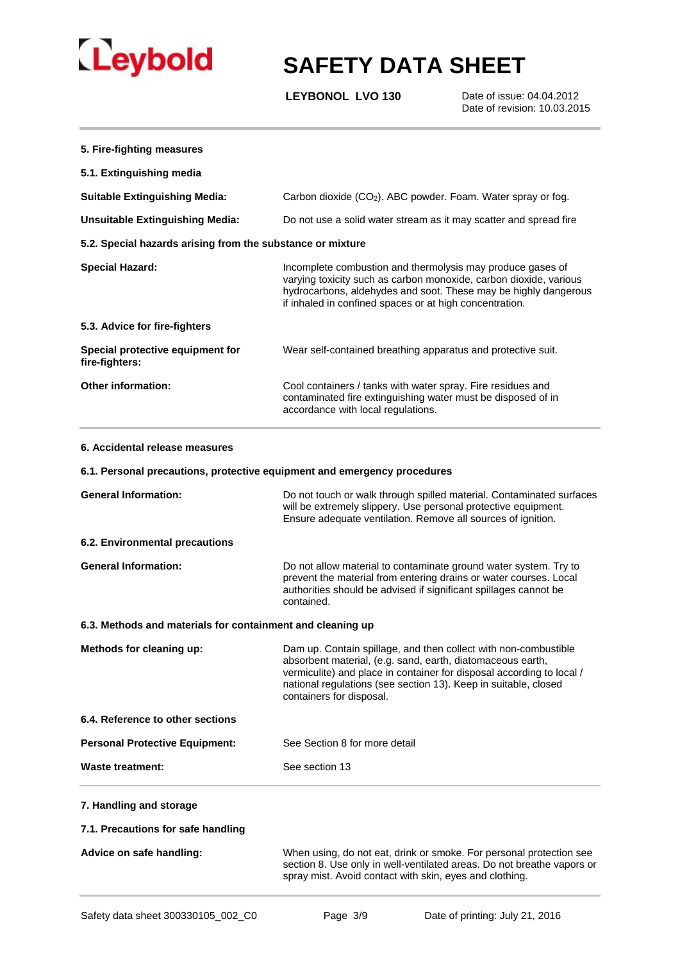

**LEYBONOL LVO 130**

| 5. Fire-fighting measures                                                |                                                                                                                                                                                                                                                                                                       |  |  |
|--------------------------------------------------------------------------|-------------------------------------------------------------------------------------------------------------------------------------------------------------------------------------------------------------------------------------------------------------------------------------------------------|--|--|
| 5.1. Extinguishing media                                                 |                                                                                                                                                                                                                                                                                                       |  |  |
| <b>Suitable Extinguishing Media:</b>                                     | Carbon dioxide (CO <sub>2</sub> ). ABC powder. Foam. Water spray or fog.                                                                                                                                                                                                                              |  |  |
| <b>Unsuitable Extinguishing Media:</b>                                   | Do not use a solid water stream as it may scatter and spread fire                                                                                                                                                                                                                                     |  |  |
| 5.2. Special hazards arising from the substance or mixture               |                                                                                                                                                                                                                                                                                                       |  |  |
| <b>Special Hazard:</b>                                                   | Incomplete combustion and thermolysis may produce gases of<br>varying toxicity such as carbon monoxide, carbon dioxide, various<br>hydrocarbons, aldehydes and soot. These may be highly dangerous<br>if inhaled in confined spaces or at high concentration.                                         |  |  |
| 5.3. Advice for fire-fighters                                            |                                                                                                                                                                                                                                                                                                       |  |  |
| Special protective equipment for<br>fire-fighters:                       | Wear self-contained breathing apparatus and protective suit.                                                                                                                                                                                                                                          |  |  |
| Other information:                                                       | Cool containers / tanks with water spray. Fire residues and<br>contaminated fire extinguishing water must be disposed of in<br>accordance with local regulations.                                                                                                                                     |  |  |
| 6. Accidental release measures                                           |                                                                                                                                                                                                                                                                                                       |  |  |
| 6.1. Personal precautions, protective equipment and emergency procedures |                                                                                                                                                                                                                                                                                                       |  |  |
| <b>General Information:</b>                                              | Do not touch or walk through spilled material. Contaminated surfaces<br>will be extremely slippery. Use personal protective equipment.<br>Ensure adequate ventilation. Remove all sources of ignition.                                                                                                |  |  |
| 6.2. Environmental precautions                                           |                                                                                                                                                                                                                                                                                                       |  |  |
| <b>General Information:</b>                                              | Do not allow material to contaminate ground water system. Try to<br>prevent the material from entering drains or water courses. Local<br>authorities should be advised if significant spillages cannot be<br>contained.                                                                               |  |  |
| 6.3. Methods and materials for containment and cleaning up               |                                                                                                                                                                                                                                                                                                       |  |  |
| Methods for cleaning up:                                                 | Dam up. Contain spillage, and then collect with non-combustible<br>absorbent material, (e.g. sand, earth, diatomaceous earth,<br>vermiculite) and place in container for disposal according to local /<br>national regulations (see section 13). Keep in suitable, closed<br>containers for disposal. |  |  |
| 6.4. Reference to other sections                                         |                                                                                                                                                                                                                                                                                                       |  |  |
| <b>Personal Protective Equipment:</b>                                    | See Section 8 for more detail                                                                                                                                                                                                                                                                         |  |  |
| <b>Waste treatment:</b>                                                  | See section 13                                                                                                                                                                                                                                                                                        |  |  |
| 7. Handling and storage                                                  |                                                                                                                                                                                                                                                                                                       |  |  |
| 7.1. Precautions for safe handling                                       |                                                                                                                                                                                                                                                                                                       |  |  |
| Advice on safe handling:                                                 | When using, do not eat, drink or smoke. For personal protection see<br>section 8. Use only in well-ventilated areas. Do not breathe vapors or<br>spray mist. Avoid contact with skin, eyes and clothing.                                                                                              |  |  |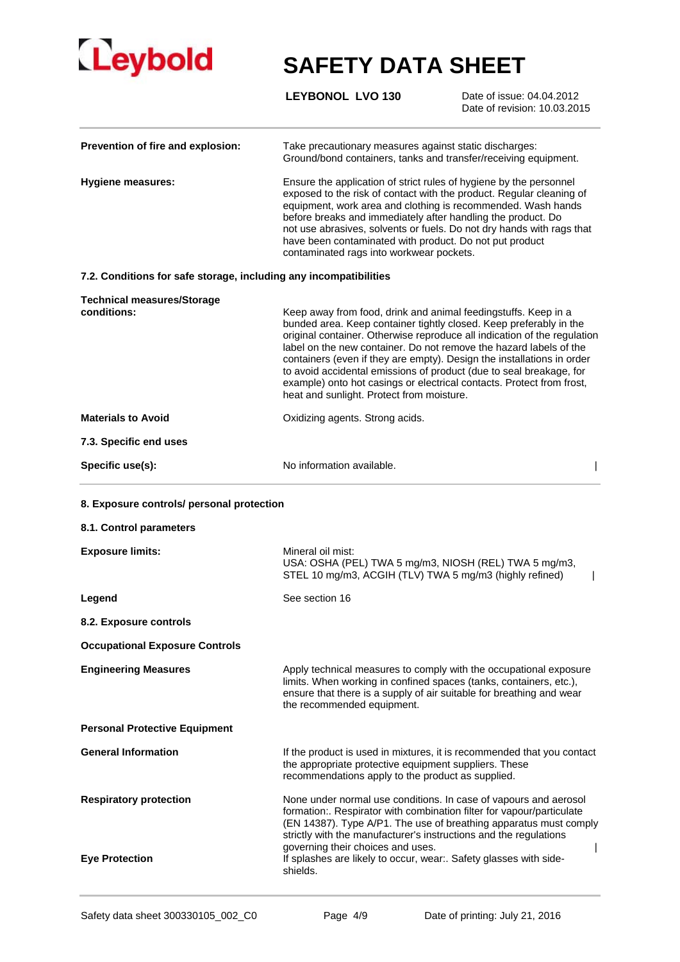

**LEYBONOL LVO 130**

| Prevention of fire and explosion:                                 | Take precautionary measures against static discharges:<br>Ground/bond containers, tanks and transfer/receiving equipment.                                                                                                                                                                                                                                                                                                                                                                                                                                     |
|-------------------------------------------------------------------|---------------------------------------------------------------------------------------------------------------------------------------------------------------------------------------------------------------------------------------------------------------------------------------------------------------------------------------------------------------------------------------------------------------------------------------------------------------------------------------------------------------------------------------------------------------|
| <b>Hygiene measures:</b>                                          | Ensure the application of strict rules of hygiene by the personnel<br>exposed to the risk of contact with the product. Regular cleaning of<br>equipment, work area and clothing is recommended. Wash hands<br>before breaks and immediately after handling the product. Do<br>not use abrasives, solvents or fuels. Do not dry hands with rags that<br>have been contaminated with product. Do not put product<br>contaminated rags into workwear pockets.                                                                                                    |
| 7.2. Conditions for safe storage, including any incompatibilities |                                                                                                                                                                                                                                                                                                                                                                                                                                                                                                                                                               |
| <b>Technical measures/Storage</b><br>conditions:                  | Keep away from food, drink and animal feedingstuffs. Keep in a<br>bunded area. Keep container tightly closed. Keep preferably in the<br>original container. Otherwise reproduce all indication of the regulation<br>label on the new container. Do not remove the hazard labels of the<br>containers (even if they are empty). Design the installations in order<br>to avoid accidental emissions of product (due to seal breakage, for<br>example) onto hot casings or electrical contacts. Protect from frost,<br>heat and sunlight. Protect from moisture. |
| <b>Materials to Avoid</b>                                         | Oxidizing agents. Strong acids.                                                                                                                                                                                                                                                                                                                                                                                                                                                                                                                               |
| 7.3. Specific end uses                                            |                                                                                                                                                                                                                                                                                                                                                                                                                                                                                                                                                               |
| Specific use(s):                                                  | No information available.                                                                                                                                                                                                                                                                                                                                                                                                                                                                                                                                     |
| 8. Exposure controls/ personal protection                         |                                                                                                                                                                                                                                                                                                                                                                                                                                                                                                                                                               |
| 8.1. Control parameters                                           |                                                                                                                                                                                                                                                                                                                                                                                                                                                                                                                                                               |
| <b>Exposure limits:</b>                                           | Mineral oil mist:<br>USA: OSHA (PEL) TWA 5 mg/m3, NIOSH (REL) TWA 5 mg/m3,<br>STEL 10 mg/m3, ACGIH (TLV) TWA 5 mg/m3 (highly refined)                                                                                                                                                                                                                                                                                                                                                                                                                         |
| Legend                                                            | See section 16                                                                                                                                                                                                                                                                                                                                                                                                                                                                                                                                                |
| 8.2. Exposure controls                                            |                                                                                                                                                                                                                                                                                                                                                                                                                                                                                                                                                               |
| <b>Occupational Exposure Controls</b>                             |                                                                                                                                                                                                                                                                                                                                                                                                                                                                                                                                                               |
| <b>Engineering Measures</b>                                       | Apply technical measures to comply with the occupational exposure<br>limits. When working in confined spaces (tanks, containers, etc.),<br>ensure that there is a supply of air suitable for breathing and wear<br>the recommended equipment.                                                                                                                                                                                                                                                                                                                 |
| <b>Personal Protective Equipment</b>                              |                                                                                                                                                                                                                                                                                                                                                                                                                                                                                                                                                               |
| <b>General Information</b>                                        | If the product is used in mixtures, it is recommended that you contact<br>the appropriate protective equipment suppliers. These<br>recommendations apply to the product as supplied.                                                                                                                                                                                                                                                                                                                                                                          |
| <b>Respiratory protection</b>                                     | None under normal use conditions. In case of vapours and aerosol<br>formation:. Respirator with combination filter for vapour/particulate<br>(EN 14387). Type A/P1. The use of breathing apparatus must comply<br>strictly with the manufacturer's instructions and the regulations<br>governing their choices and uses.                                                                                                                                                                                                                                      |
| <b>Eye Protection</b>                                             | If splashes are likely to occur, wear:. Safety glasses with side-<br>shields.                                                                                                                                                                                                                                                                                                                                                                                                                                                                                 |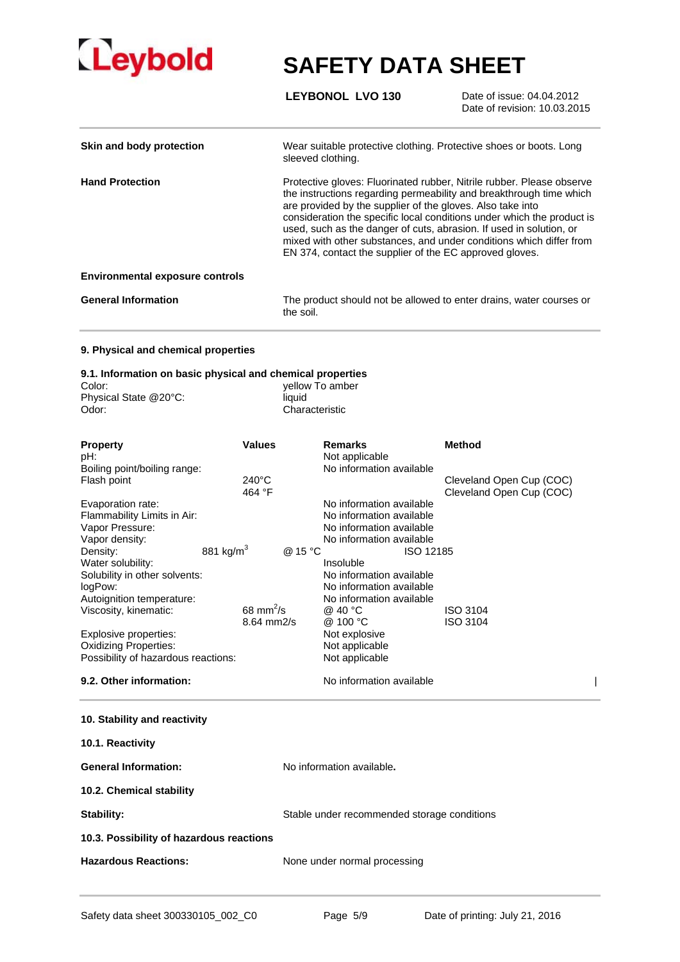

**LEYBONOL LVO 130**

 Date of issue: 04.04.2012 Date of revision: 10.03.2015

| Skin and body protection               | Wear suitable protective clothing. Protective shoes or boots. Long<br>sleeved clothing.                                                                                                                                                                                                                                                                                                                                                                                                       |
|----------------------------------------|-----------------------------------------------------------------------------------------------------------------------------------------------------------------------------------------------------------------------------------------------------------------------------------------------------------------------------------------------------------------------------------------------------------------------------------------------------------------------------------------------|
| <b>Hand Protection</b>                 | Protective gloves: Fluorinated rubber, Nitrile rubber. Please observe<br>the instructions regarding permeability and breakthrough time which<br>are provided by the supplier of the gloves. Also take into<br>consideration the specific local conditions under which the product is<br>used, such as the danger of cuts, abrasion. If used in solution, or<br>mixed with other substances, and under conditions which differ from<br>EN 374, contact the supplier of the EC approved gloves. |
| <b>Environmental exposure controls</b> |                                                                                                                                                                                                                                                                                                                                                                                                                                                                                               |
| <b>General Information</b>             | The product should not be allowed to enter drains, water courses or<br>the soil.                                                                                                                                                                                                                                                                                                                                                                                                              |

#### **9. Physical and chemical properties**

#### **9.1. Information on basic physical and chemical properties**

| Color:                | yellow To amber |
|-----------------------|-----------------|
| Physical State @20°C: | liauid          |
| Odor:                 | Characteristic  |

| <b>Property</b><br>pH:                                                                                                          | <b>Values</b>                                    | <b>Remarks</b><br>Not applicable                                                                                      | <b>Method</b>                                        |  |
|---------------------------------------------------------------------------------------------------------------------------------|--------------------------------------------------|-----------------------------------------------------------------------------------------------------------------------|------------------------------------------------------|--|
| Boiling point/boiling range:                                                                                                    |                                                  | No information available                                                                                              |                                                      |  |
| Flash point                                                                                                                     | $240^{\circ}$ C<br>464 °F                        |                                                                                                                       | Cleveland Open Cup (COC)<br>Cleveland Open Cup (COC) |  |
| Evaporation rate:<br>Flammability Limits in Air:<br>Vapor Pressure:<br>Vapor density:                                           |                                                  | No information available<br>No information available<br>No information available<br>No information available          |                                                      |  |
| Density:<br>Water solubility:<br>Solubility in other solvents:<br>logPow:<br>Autoignition temperature:<br>Viscosity, kinematic: | 881 kg/ $m3$<br>@ 15 °C<br>68 mm <sup>2</sup> /s | ISO 12185<br>Insoluble<br>No information available<br>No information available<br>No information available<br>@ 40 °C | <b>ISO 3104</b>                                      |  |
| Explosive properties:<br><b>Oxidizing Properties:</b><br>Possibility of hazardous reactions:                                    | 8.64 mm2/s                                       | @ 100 °C<br>Not explosive<br>Not applicable<br>Not applicable                                                         | <b>ISO 3104</b>                                      |  |
| 9.2. Other information:                                                                                                         |                                                  | No information available                                                                                              |                                                      |  |
| 10. Stability and reactivity                                                                                                    |                                                  |                                                                                                                       |                                                      |  |
| 10.1. Reactivity                                                                                                                |                                                  |                                                                                                                       |                                                      |  |
| <b>General Information:</b>                                                                                                     |                                                  | No information available.                                                                                             |                                                      |  |
| 10.2. Chemical stability                                                                                                        |                                                  |                                                                                                                       |                                                      |  |
| <b>Stability:</b>                                                                                                               |                                                  | Stable under recommended storage conditions                                                                           |                                                      |  |
| 10.3. Possibility of hazardous reactions                                                                                        |                                                  |                                                                                                                       |                                                      |  |
| <b>Hazardous Reactions:</b>                                                                                                     |                                                  | None under normal processing                                                                                          |                                                      |  |
|                                                                                                                                 |                                                  |                                                                                                                       |                                                      |  |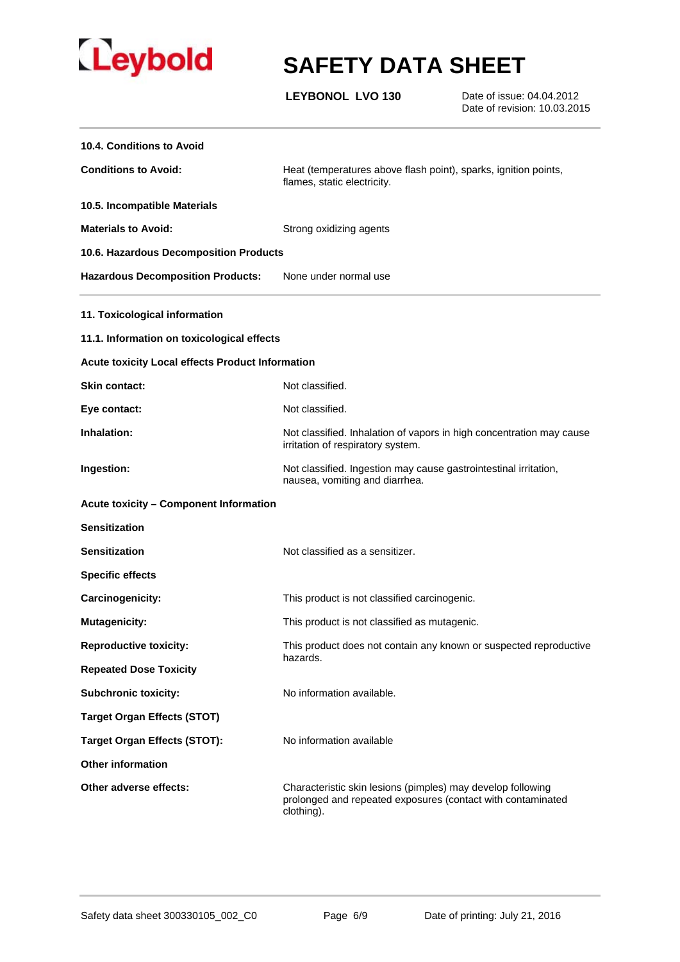

**LEYBONOL LVO 130**

| 10.4. Conditions to Avoid                        |                                                                                                                                          |  |  |  |
|--------------------------------------------------|------------------------------------------------------------------------------------------------------------------------------------------|--|--|--|
| <b>Conditions to Avoid:</b>                      | Heat (temperatures above flash point), sparks, ignition points,<br>flames, static electricity.                                           |  |  |  |
| 10.5. Incompatible Materials                     |                                                                                                                                          |  |  |  |
| <b>Materials to Avoid:</b>                       | Strong oxidizing agents                                                                                                                  |  |  |  |
| 10.6. Hazardous Decomposition Products           |                                                                                                                                          |  |  |  |
| <b>Hazardous Decomposition Products:</b>         | None under normal use                                                                                                                    |  |  |  |
| 11. Toxicological information                    |                                                                                                                                          |  |  |  |
| 11.1. Information on toxicological effects       |                                                                                                                                          |  |  |  |
| Acute toxicity Local effects Product Information |                                                                                                                                          |  |  |  |
| <b>Skin contact:</b>                             | Not classified.                                                                                                                          |  |  |  |
| Eye contact:                                     | Not classified.                                                                                                                          |  |  |  |
| Inhalation:                                      | Not classified. Inhalation of vapors in high concentration may cause<br>irritation of respiratory system.                                |  |  |  |
| Ingestion:                                       | Not classified. Ingestion may cause gastrointestinal irritation,<br>nausea, vomiting and diarrhea.                                       |  |  |  |
| <b>Acute toxicity - Component Information</b>    |                                                                                                                                          |  |  |  |
| <b>Sensitization</b>                             |                                                                                                                                          |  |  |  |
| <b>Sensitization</b>                             | Not classified as a sensitizer.                                                                                                          |  |  |  |
| <b>Specific effects</b>                          |                                                                                                                                          |  |  |  |
| Carcinogenicity:                                 | This product is not classified carcinogenic.                                                                                             |  |  |  |
| <b>Mutagenicity:</b>                             | This product is not classified as mutagenic.                                                                                             |  |  |  |
| <b>Reproductive toxicity:</b>                    | This product does not contain any known or suspected reproductive                                                                        |  |  |  |
| <b>Repeated Dose Toxicity</b>                    | hazards.                                                                                                                                 |  |  |  |
| <b>Subchronic toxicity:</b>                      | No information available.                                                                                                                |  |  |  |
| <b>Target Organ Effects (STOT)</b>               |                                                                                                                                          |  |  |  |
| <b>Target Organ Effects (STOT):</b>              | No information available                                                                                                                 |  |  |  |
| <b>Other information</b>                         |                                                                                                                                          |  |  |  |
| Other adverse effects:                           | Characteristic skin lesions (pimples) may develop following<br>prolonged and repeated exposures (contact with contaminated<br>clothing). |  |  |  |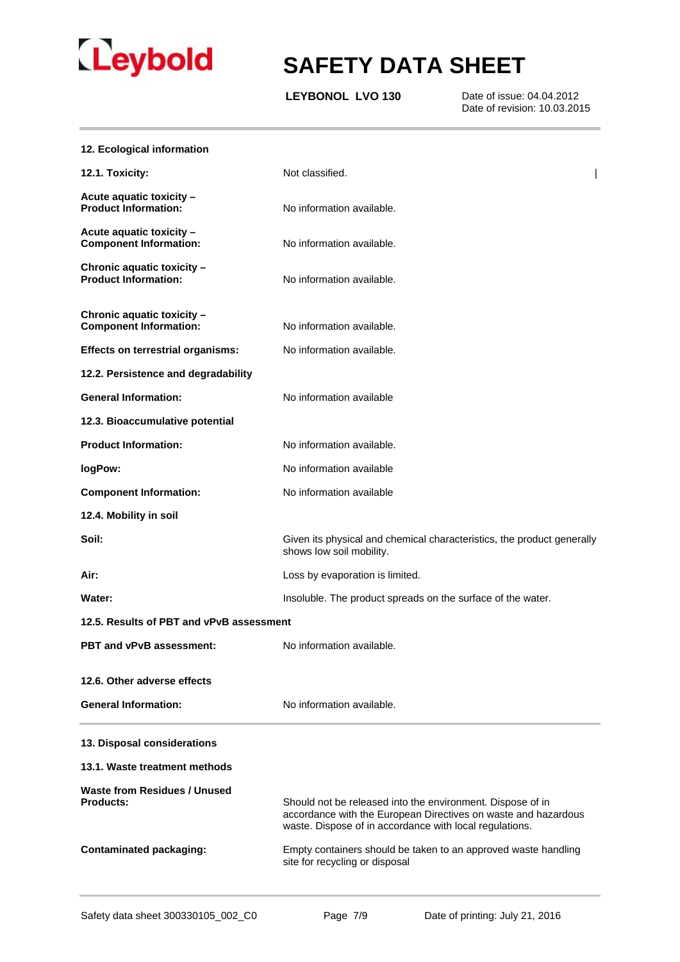

**LEYBONOL LVO 130**

| 12. Ecological information                                  |                                                                                                                                                                                         |  |
|-------------------------------------------------------------|-----------------------------------------------------------------------------------------------------------------------------------------------------------------------------------------|--|
| 12.1. Toxicity:                                             | Not classified.                                                                                                                                                                         |  |
| Acute aquatic toxicity -<br><b>Product Information:</b>     | No information available.                                                                                                                                                               |  |
| Acute aquatic toxicity -<br><b>Component Information:</b>   | No information available.                                                                                                                                                               |  |
| Chronic aquatic toxicity -<br><b>Product Information:</b>   | No information available.                                                                                                                                                               |  |
| Chronic aquatic toxicity -<br><b>Component Information:</b> | No information available.                                                                                                                                                               |  |
| <b>Effects on terrestrial organisms:</b>                    | No information available.                                                                                                                                                               |  |
| 12.2. Persistence and degradability                         |                                                                                                                                                                                         |  |
| <b>General Information:</b>                                 | No information available                                                                                                                                                                |  |
| 12.3. Bioaccumulative potential                             |                                                                                                                                                                                         |  |
| <b>Product Information:</b>                                 | No information available.                                                                                                                                                               |  |
| logPow:                                                     | No information available                                                                                                                                                                |  |
| <b>Component Information:</b>                               | No information available                                                                                                                                                                |  |
| 12.4. Mobility in soil                                      |                                                                                                                                                                                         |  |
| Soil:                                                       | Given its physical and chemical characteristics, the product generally<br>shows low soil mobility.                                                                                      |  |
| Air:                                                        | Loss by evaporation is limited.                                                                                                                                                         |  |
| Water:                                                      | Insoluble. The product spreads on the surface of the water.                                                                                                                             |  |
| 12.5. Results of PBT and vPvB assessment                    |                                                                                                                                                                                         |  |
| <b>PBT and vPvB assessment:</b>                             | No information available.                                                                                                                                                               |  |
| 12.6. Other adverse effects                                 |                                                                                                                                                                                         |  |
| <b>General Information:</b>                                 | No information available.                                                                                                                                                               |  |
| 13. Disposal considerations                                 |                                                                                                                                                                                         |  |
| 13.1. Waste treatment methods                               |                                                                                                                                                                                         |  |
| Waste from Residues / Unused<br><b>Products:</b>            | Should not be released into the environment. Dispose of in<br>accordance with the European Directives on waste and hazardous<br>waste. Dispose of in accordance with local regulations. |  |
| <b>Contaminated packaging:</b>                              | Empty containers should be taken to an approved waste handling<br>site for recycling or disposal                                                                                        |  |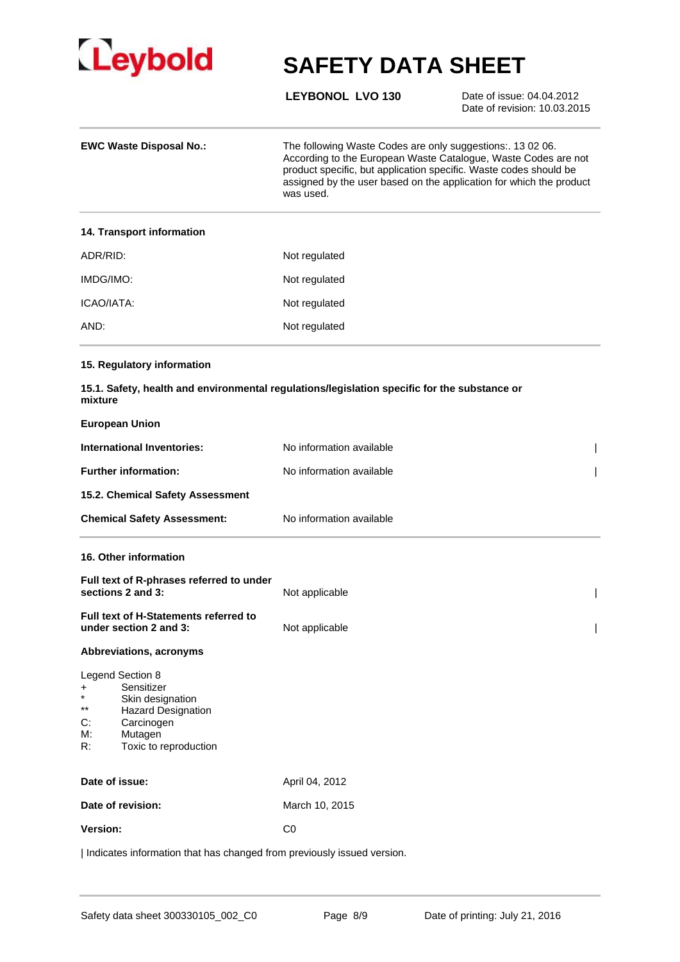

**LEYBONOL LVO 130**

 Date of issue: 04.04.2012 Date of revision: 10.03.2015

| <b>EWC Waste Disposal No.:</b>                                         | The following Waste Codes are only suggestions: 13 02 06.<br>According to the European Waste Catalogue, Waste Codes are not<br>product specific, but application specific. Waste codes should be<br>assigned by the user based on the application for which the product<br>was used. |
|------------------------------------------------------------------------|--------------------------------------------------------------------------------------------------------------------------------------------------------------------------------------------------------------------------------------------------------------------------------------|
| 14. Transport information                                              |                                                                                                                                                                                                                                                                                      |
| ADR/RID:                                                               | Not regulated                                                                                                                                                                                                                                                                        |
| IMDG/IMO:                                                              | Not regulated                                                                                                                                                                                                                                                                        |
| ICAO/IATA:                                                             | Not regulated                                                                                                                                                                                                                                                                        |
| AND:                                                                   | Not regulated                                                                                                                                                                                                                                                                        |
| mixture<br><b>European Union</b>                                       | 15.1. Safety, health and environmental regulations/legislation specific for the substance or                                                                                                                                                                                         |
| <b>International Inventories:</b>                                      | No information available                                                                                                                                                                                                                                                             |
| <b>Further information:</b>                                            | No information available                                                                                                                                                                                                                                                             |
| 15.2. Chemical Safety Assessment                                       |                                                                                                                                                                                                                                                                                      |
| <b>Chemical Safety Assessment:</b>                                     | No information available                                                                                                                                                                                                                                                             |
| 16. Other information                                                  |                                                                                                                                                                                                                                                                                      |
| Full text of R-phrases referred to under<br>sections 2 and 3:          | Not applicable                                                                                                                                                                                                                                                                       |
| <b>Full text of H-Statements referred to</b><br>under section 2 and 3: | Not applicable                                                                                                                                                                                                                                                                       |

#### **Abbreviations, acronyms**

Legend Section 8 + Sensitizer<br>\* Skin desig \* Skin designation<br>\*\* Hazard Designation \*\* Hazard Designation<br>C: Carcinogen Carcinogen M: Mutagen R: Toxic to reproduction

| Date of issue:    | April 04, 2012 |
|-------------------|----------------|
| Date of revision: | March 10, 2015 |
| <b>Version:</b>   | CO             |

| Indicates information that has changed from previously issued version.